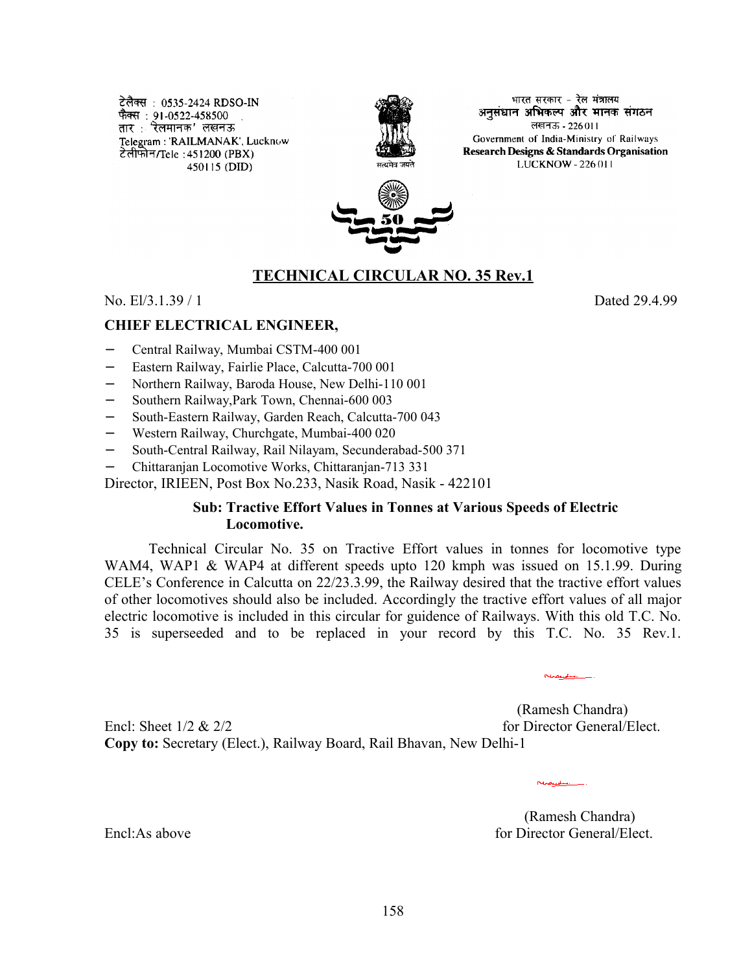टेलैक्स: 0535-2424 RDSO-IN फैक्स : 91-0522-458500 . तार : रेलमानक' लखनऊ Telegram: 'RAILMANAK', Lucknow टेलीफोन/Tele : 451200 (PBX) 450115 (DID)



भारत सरकार - रेल मंत्रालय अनसंधान अभिकल्प और मानक संगठन लखनऊ - 226011 Government of India-Ministry of Railways Research Designs & Standards Organisation LUCKNOW - 226 011



## **TECHNICAL CIRCULAR NO. 35 Rev.1**

No. El/3.1.39 / 1 Dated 29.4.99

**CHIEF ELECTRICAL ENGINEER,**

- − Central Railway, Mumbai CSTM-400 001
- − Eastern Railway, Fairlie Place, Calcutta-700 001
- − Northern Railway, Baroda House, New Delhi-110 001
- − Southern Railway,Park Town, Chennai-600 003
- − South-Eastern Railway, Garden Reach, Calcutta-700 043
- − Western Railway, Churchgate, Mumbai-400 020
- − South-Central Railway, Rail Nilayam, Secunderabad-500 371
- − Chittaranjan Locomotive Works, Chittaranjan-713 331

Director, IRIEEN, Post Box No.233, Nasik Road, Nasik - 422101

#### **Sub: Tractive Effort Values in Tonnes at Various Speeds of Electric Locomotive.**

Technical Circular No. 35 on Tractive Effort values in tonnes for locomotive type WAM4, WAP1 & WAP4 at different speeds upto 120 kmph was issued on 15.1.99. During CELE's Conference in Calcutta on 22/23.3.99, the Railway desired that the tractive effort values of other locomotives should also be included. Accordingly the tractive effort values of all major electric locomotive is included in this circular for guidence of Railways. With this old T.C. No. 35 is superseeded and to be replaced in your record by this T.C. No. 35 Rev.1.

 (Ramesh Chandra) Encl: Sheet 1/2 & 2/2 for Director General/Elect. **Copy to:** Secretary (Elect.), Railway Board, Rail Bhavan, New Delhi-1

(Ramesh Chandra) Encl:As above **for Director General/Elect**.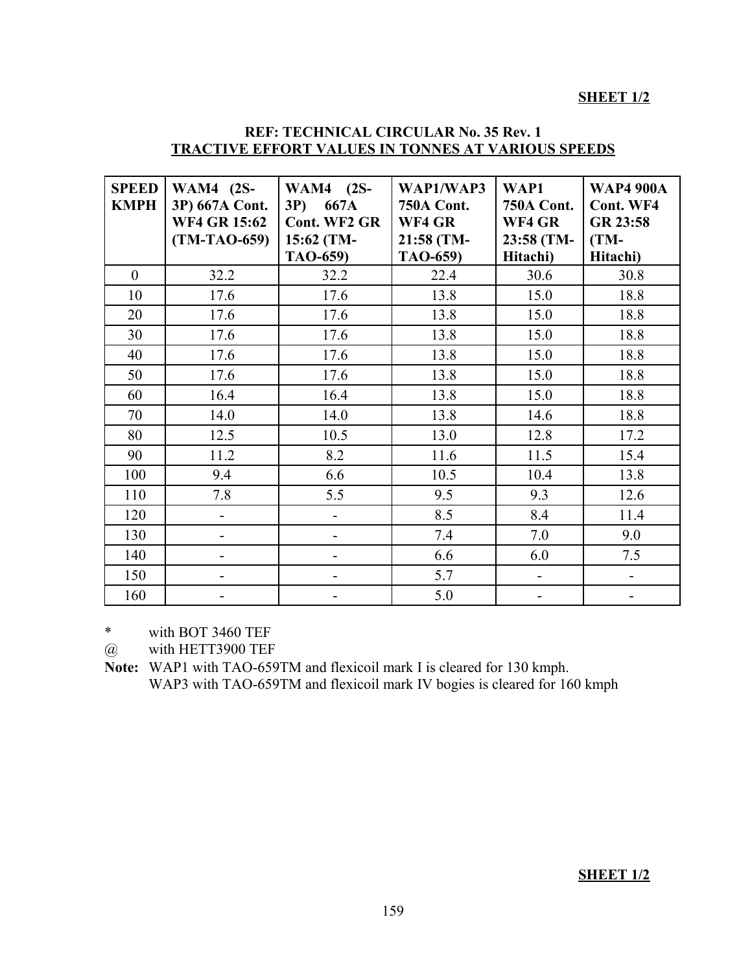### **SHEET 1/2**

### **REF: TECHNICAL CIRCULAR No. 35 Rev. 1 TRACTIVE EFFORT VALUES IN TONNES AT VARIOUS SPEEDS**

| <b>SPEED</b><br><b>KMPH</b> | <b>WAM4</b> (2S-<br>3P) 667A Cont.<br><b>WF4 GR 15:62</b><br>$(TM-TAO-659)$ | <b>WAM4</b> (2S-<br>$3P$ )<br>667A<br><b>Cont. WF2 GR</b><br>15:62 (TM-<br>TAO-659) | WAP1/WAP3<br><b>750A Cont.</b><br>WF4 GR<br>21:58 (TM-<br>TAO-659) | WAP1<br><b>750A Cont.</b><br>WF4 GR<br>23:58 (TM-<br>Hitachi) | <b>WAP4 900A</b><br>Cont. WF4<br>GR 23:58<br>$(TM-$<br>Hitachi) |
|-----------------------------|-----------------------------------------------------------------------------|-------------------------------------------------------------------------------------|--------------------------------------------------------------------|---------------------------------------------------------------|-----------------------------------------------------------------|
| $\overline{0}$              | 32.2                                                                        | 32.2                                                                                | 22.4                                                               | 30.6                                                          | 30.8                                                            |
| 10                          | 17.6                                                                        | 17.6                                                                                | 13.8                                                               | 15.0                                                          | 18.8                                                            |
| 20                          | 17.6                                                                        | 17.6                                                                                | 13.8                                                               | 15.0                                                          | 18.8                                                            |
| 30                          | 17.6                                                                        | 17.6                                                                                | 13.8                                                               | 15.0                                                          | 18.8                                                            |
| 40                          | 17.6                                                                        | 17.6                                                                                | 13.8                                                               | 15.0                                                          | 18.8                                                            |
| 50                          | 17.6                                                                        | 17.6                                                                                | 13.8                                                               | 15.0                                                          | 18.8                                                            |
| 60                          | 16.4                                                                        | 16.4                                                                                | 13.8                                                               | 15.0                                                          | 18.8                                                            |
| 70                          | 14.0                                                                        | 14.0                                                                                | 13.8                                                               | 14.6                                                          | 18.8                                                            |
| 80                          | 12.5                                                                        | 10.5                                                                                | 13.0                                                               | 12.8                                                          | 17.2                                                            |
| 90                          | 11.2                                                                        | 8.2                                                                                 | 11.6                                                               | 11.5                                                          | 15.4                                                            |
| 100                         | 9.4                                                                         | 6.6                                                                                 | 10.5                                                               | 10.4                                                          | 13.8                                                            |
| 110                         | 7.8                                                                         | 5.5                                                                                 | 9.5                                                                | 9.3                                                           | 12.6                                                            |
| 120                         | $\overline{a}$                                                              | $\overline{\phantom{0}}$                                                            | 8.5                                                                | 8.4                                                           | 11.4                                                            |
| 130                         | $\overline{\phantom{0}}$                                                    | -                                                                                   | 7.4                                                                | 7.0                                                           | 9.0                                                             |
| 140                         | -                                                                           | -                                                                                   | 6.6                                                                | 6.0                                                           | 7.5                                                             |
| 150                         | -                                                                           | -                                                                                   | 5.7                                                                | $\overline{\phantom{m}}$                                      |                                                                 |
| 160                         |                                                                             |                                                                                     | 5.0                                                                |                                                               |                                                                 |

\* with BOT 3460 TEF

@ with HETT3900 TEF

**Note:** WAP1 with TAO-659TM and flexicoil mark I is cleared for 130 kmph. WAP3 with TAO-659TM and flexicoil mark IV bogies is cleared for 160 kmph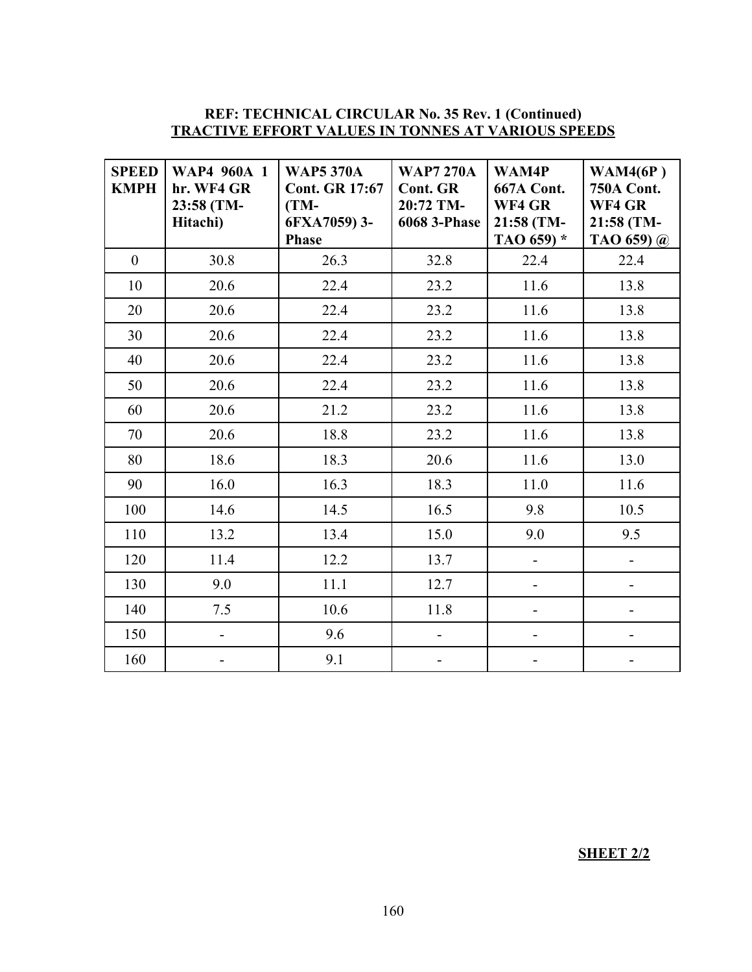#### **REF: TECHNICAL CIRCULAR No. 35 Rev. 1 (Continued) TRACTIVE EFFORT VALUES IN TONNES AT VARIOUS SPEEDS**

| <b>SPEED</b><br><b>KMPH</b> | <b>WAP4 960A 1</b><br>hr. WF4 GR<br>23:58 (TM-<br>Hitachi) | <b>WAP5 370A</b><br><b>Cont. GR 17:67</b><br>$(TM-$<br>6FXA7059) 3-<br><b>Phase</b> | <b>WAP7 270A</b><br><b>Cont. GR</b><br>20:72 TM-<br><b>6068 3-Phase</b> | WAM4P<br><b>667A Cont.</b><br>WF4 GR<br>21:58 (TM-<br>TAO $659$ <sup>*</sup> | WAM4(6P)<br><b>750A Cont.</b><br>WF4 GR<br>21:58 (TM-<br>TAO 659) $\omega$ |
|-----------------------------|------------------------------------------------------------|-------------------------------------------------------------------------------------|-------------------------------------------------------------------------|------------------------------------------------------------------------------|----------------------------------------------------------------------------|
| $\overline{0}$              | 30.8                                                       | 26.3                                                                                | 32.8                                                                    | 22.4                                                                         | 22.4                                                                       |
| 10                          | 20.6                                                       | 22.4                                                                                | 23.2                                                                    | 11.6                                                                         | 13.8                                                                       |
| 20                          | 20.6                                                       | 22.4                                                                                | 23.2                                                                    | 11.6                                                                         | 13.8                                                                       |
| 30                          | 20.6                                                       | 22.4                                                                                | 23.2                                                                    | 11.6                                                                         | 13.8                                                                       |
| 40                          | 20.6                                                       | 22.4                                                                                | 23.2                                                                    | 11.6                                                                         | 13.8                                                                       |
| 50                          | 20.6                                                       | 22.4                                                                                | 23.2                                                                    | 11.6                                                                         | 13.8                                                                       |
| 60                          | 20.6                                                       | 21.2                                                                                | 23.2                                                                    | 11.6                                                                         | 13.8                                                                       |
| 70                          | 20.6                                                       | 18.8                                                                                | 23.2                                                                    | 11.6                                                                         | 13.8                                                                       |
| 80                          | 18.6                                                       | 18.3                                                                                | 20.6                                                                    | 11.6                                                                         | 13.0                                                                       |
| 90                          | 16.0                                                       | 16.3                                                                                | 18.3                                                                    | 11.0                                                                         | 11.6                                                                       |
| 100                         | 14.6                                                       | 14.5                                                                                | 16.5                                                                    | 9.8                                                                          | 10.5                                                                       |
| 110                         | 13.2                                                       | 13.4                                                                                | 15.0                                                                    | 9.0                                                                          | 9.5                                                                        |
| 120                         | 11.4                                                       | 12.2                                                                                | 13.7                                                                    | $\blacksquare$                                                               | $\overline{\phantom{0}}$                                                   |
| 130                         | 9.0                                                        | 11.1                                                                                | 12.7                                                                    | $\overline{\phantom{0}}$                                                     | $\overline{a}$                                                             |
| 140                         | 7.5                                                        | 10.6                                                                                | 11.8                                                                    |                                                                              |                                                                            |
| 150                         | $\overline{\phantom{0}}$                                   | 9.6                                                                                 |                                                                         |                                                                              |                                                                            |
| 160                         |                                                            | 9.1                                                                                 |                                                                         |                                                                              |                                                                            |

**SHEET 2/2**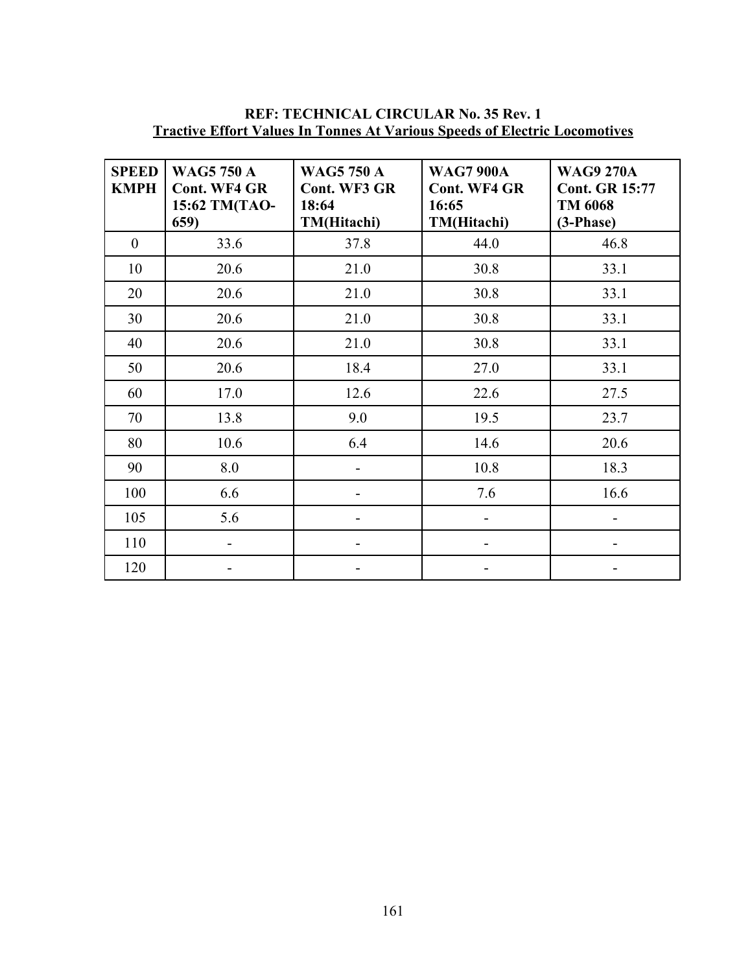| <b>SPEED</b><br><b>KMPH</b> | <b>WAG5 750 A</b><br><b>Cont. WF4 GR</b><br>15:62 TM(TAO-<br>659) | <b>WAG5 750 A</b><br>Cont. WF3 GR<br>18:64<br>TM(Hitachi) | <b>WAG7 900A</b><br><b>Cont. WF4 GR</b><br>16:65<br>TM(Hitachi) | <b>WAG9 270A</b><br><b>Cont. GR 15:77</b><br>TM 6068<br>$(3-Phase)$ |
|-----------------------------|-------------------------------------------------------------------|-----------------------------------------------------------|-----------------------------------------------------------------|---------------------------------------------------------------------|
| $\overline{0}$              | 33.6                                                              | 37.8                                                      | 44.0                                                            | 46.8                                                                |
| 10                          | 20.6                                                              | 21.0                                                      | 30.8                                                            | 33.1                                                                |
| 20                          | 20.6                                                              | 21.0                                                      | 30.8                                                            | 33.1                                                                |
| 30                          | 20.6                                                              | 21.0                                                      | 30.8                                                            | 33.1                                                                |
| 40                          | 20.6                                                              | 21.0                                                      | 30.8                                                            | 33.1                                                                |
| 50                          | 20.6                                                              | 18.4                                                      | 27.0                                                            | 33.1                                                                |
| 60                          | 17.0                                                              | 12.6                                                      | 22.6                                                            | 27.5                                                                |
| 70                          | 13.8                                                              | 9.0                                                       | 19.5                                                            | 23.7                                                                |
| 80                          | 10.6                                                              | 6.4                                                       | 14.6                                                            | 20.6                                                                |
| 90                          | 8.0                                                               |                                                           | 10.8                                                            | 18.3                                                                |
| 100                         | 6.6                                                               |                                                           | 7.6                                                             | 16.6                                                                |
| 105                         | 5.6                                                               |                                                           |                                                                 | -                                                                   |
| 110                         | ۰                                                                 | -                                                         |                                                                 | -                                                                   |
| 120                         |                                                                   |                                                           |                                                                 |                                                                     |

# **REF: TECHNICAL CIRCULAR No. 35 Rev. 1 Tractive Effort Values In Tonnes At Various Speeds of Electric Locomotives**